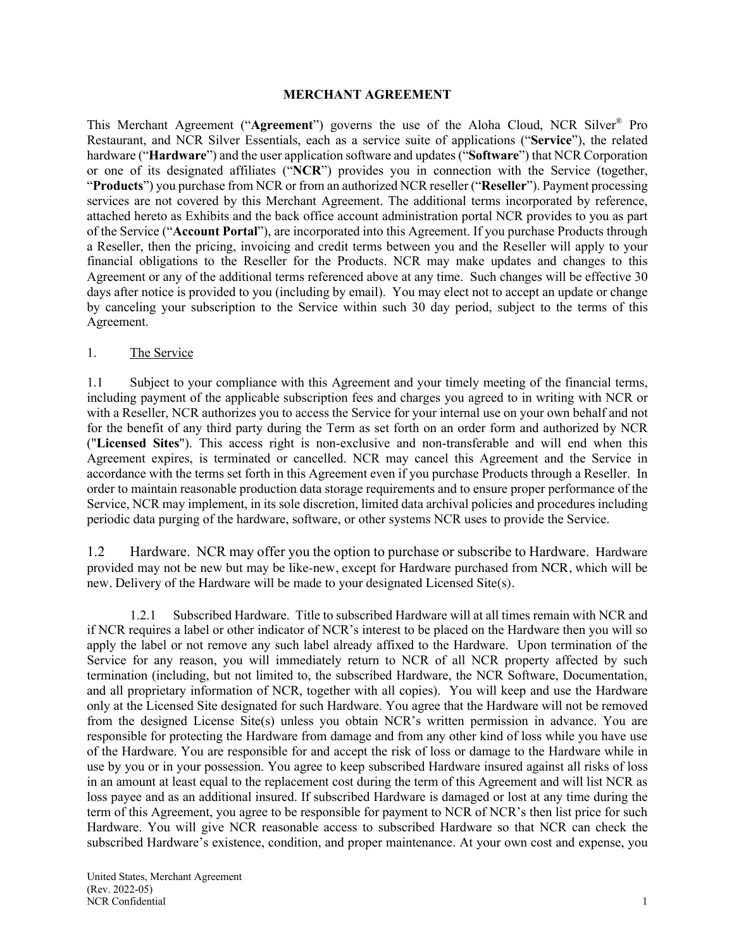#### **MERCHANT AGREEMENT**

This Merchant Agreement ("**Agreement**") governs the use of the Aloha Cloud, NCR Silver® Pro Restaurant, and NCR Silver Essentials, each as a service suite of applications ("**Service**"), the related hardware ("**Hardware**") and the user application software and updates ("**Software**") that NCR Corporation or one of its designated affiliates ("**NCR**") provides you in connection with the Service (together, "**Products**") you purchase from NCR or from an authorized NCR reseller ("**Reseller**"). Payment processing services are not covered by this Merchant Agreement. The additional terms incorporated by reference, attached hereto as Exhibits and the back office account administration portal NCR provides to you as part of the Service ("**Account Portal**"), are incorporated into this Agreement. If you purchase Products through a Reseller, then the pricing, invoicing and credit terms between you and the Reseller will apply to your financial obligations to the Reseller for the Products. NCR may make updates and changes to this Agreement or any of the additional terms referenced above at any time. Such changes will be effective 30 days after notice is provided to you (including by email). You may elect not to accept an update or change by canceling your subscription to the Service within such 30 day period, subject to the terms of this Agreement.

#### 1. The Service

1.1 Subject to your compliance with this Agreement and your timely meeting of the financial terms, including payment of the applicable subscription fees and charges you agreed to in writing with NCR or with a Reseller, NCR authorizes you to access the Service for your internal use on your own behalf and not for the benefit of any third party during the Term as set forth on an order form and authorized by NCR ("**Licensed Sites**"). This access right is non-exclusive and non-transferable and will end when this Agreement expires, is terminated or cancelled. NCR may cancel this Agreement and the Service in accordance with the terms set forth in this Agreement even if you purchase Products through a Reseller. In order to maintain reasonable production data storage requirements and to ensure proper performance of the Service, NCR may implement, in its sole discretion, limited data archival policies and procedures including periodic data purging of the hardware, software, or other systems NCR uses to provide the Service.

1.2 Hardware. NCR may offer you the option to purchase or subscribe to Hardware. Hardware provided may not be new but may be like-new, except for Hardware purchased from NCR, which will be new. Delivery of the Hardware will be made to your designated Licensed Site(s).

1.2.1 Subscribed Hardware. Title to subscribed Hardware will at all times remain with NCR and if NCR requires a label or other indicator of NCR's interest to be placed on the Hardware then you will so apply the label or not remove any such label already affixed to the Hardware. Upon termination of the Service for any reason, you will immediately return to NCR of all NCR property affected by such termination (including, but not limited to, the subscribed Hardware, the NCR Software, Documentation, and all proprietary information of NCR, together with all copies). You will keep and use the Hardware only at the Licensed Site designated for such Hardware. You agree that the Hardware will not be removed from the designed License Site(s) unless you obtain NCR's written permission in advance. You are responsible for protecting the Hardware from damage and from any other kind of loss while you have use of the Hardware. You are responsible for and accept the risk of loss or damage to the Hardware while in use by you or in your possession. You agree to keep subscribed Hardware insured against all risks of loss in an amount at least equal to the replacement cost during the term of this Agreement and will list NCR as loss payee and as an additional insured. If subscribed Hardware is damaged or lost at any time during the term of this Agreement, you agree to be responsible for payment to NCR of NCR's then list price for such Hardware. You will give NCR reasonable access to subscribed Hardware so that NCR can check the subscribed Hardware's existence, condition, and proper maintenance. At your own cost and expense, you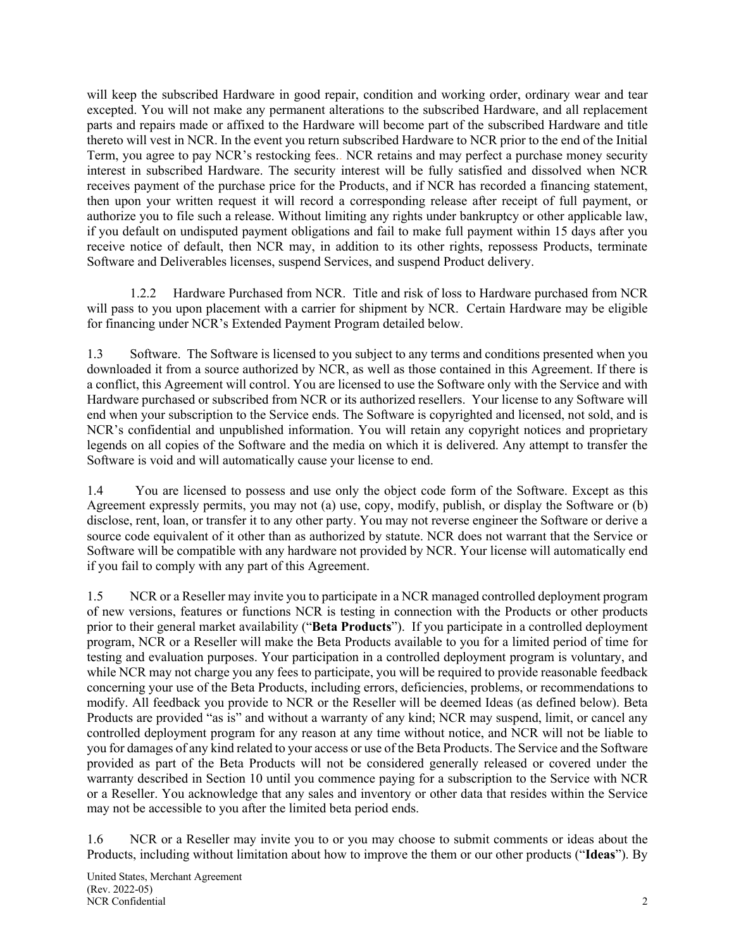will keep the subscribed Hardware in good repair, condition and working order, ordinary wear and tear excepted. You will not make any permanent alterations to the subscribed Hardware, and all replacement parts and repairs made or affixed to the Hardware will become part of the subscribed Hardware and title thereto will vest in NCR. In the event you return subscribed Hardware to NCR prior to the end of the Initial Term, you agree to pay NCR's restocking fees.. NCR retains and may perfect a purchase money security interest in subscribed Hardware. The security interest will be fully satisfied and dissolved when NCR receives payment of the purchase price for the Products, and if NCR has recorded a financing statement, then upon your written request it will record a corresponding release after receipt of full payment, or authorize you to file such a release. Without limiting any rights under bankruptcy or other applicable law, if you default on undisputed payment obligations and fail to make full payment within 15 days after you receive notice of default, then NCR may, in addition to its other rights, repossess Products, terminate Software and Deliverables licenses, suspend Services, and suspend Product delivery.

1.2.2 Hardware Purchased from NCR. Title and risk of loss to Hardware purchased from NCR will pass to you upon placement with a carrier for shipment by NCR. Certain Hardware may be eligible for financing under NCR's Extended Payment Program detailed below.

1.3 Software. The Software is licensed to you subject to any terms and conditions presented when you downloaded it from a source authorized by NCR, as well as those contained in this Agreement. If there is a conflict, this Agreement will control. You are licensed to use the Software only with the Service and with Hardware purchased or subscribed from NCR or its authorized resellers. Your license to any Software will end when your subscription to the Service ends. The Software is copyrighted and licensed, not sold, and is NCR's confidential and unpublished information. You will retain any copyright notices and proprietary legends on all copies of the Software and the media on which it is delivered. Any attempt to transfer the Software is void and will automatically cause your license to end.

1.4 You are licensed to possess and use only the object code form of the Software. Except as this Agreement expressly permits, you may not (a) use, copy, modify, publish, or display the Software or (b) disclose, rent, loan, or transfer it to any other party. You may not reverse engineer the Software or derive a source code equivalent of it other than as authorized by statute. NCR does not warrant that the Service or Software will be compatible with any hardware not provided by NCR. Your license will automatically end if you fail to comply with any part of this Agreement.

1.5 NCR or a Reseller may invite you to participate in a NCR managed controlled deployment program of new versions, features or functions NCR is testing in connection with the Products or other products prior to their general market availability ("**Beta Products**"). If you participate in a controlled deployment program, NCR or a Reseller will make the Beta Products available to you for a limited period of time for testing and evaluation purposes. Your participation in a controlled deployment program is voluntary, and while NCR may not charge you any fees to participate, you will be required to provide reasonable feedback concerning your use of the Beta Products, including errors, deficiencies, problems, or recommendations to modify. All feedback you provide to NCR or the Reseller will be deemed Ideas (as defined below). Beta Products are provided "as is" and without a warranty of any kind; NCR may suspend, limit, or cancel any controlled deployment program for any reason at any time without notice, and NCR will not be liable to you for damages of any kind related to your access or use of the Beta Products. The Service and the Software provided as part of the Beta Products will not be considered generally released or covered under the warranty described in Section 10 until you commence paying for a subscription to the Service with NCR or a Reseller. You acknowledge that any sales and inventory or other data that resides within the Service may not be accessible to you after the limited beta period ends.

1.6 NCR or a Reseller may invite you to or you may choose to submit comments or ideas about the Products, including without limitation about how to improve the them or our other products ("**Ideas**"). By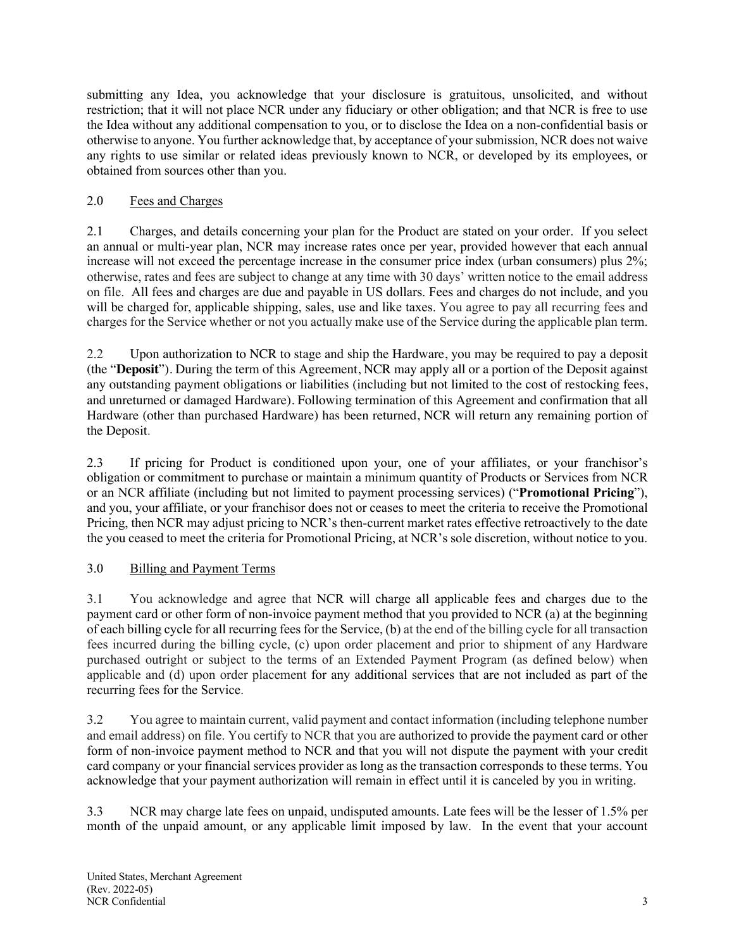submitting any Idea, you acknowledge that your disclosure is gratuitous, unsolicited, and without restriction; that it will not place NCR under any fiduciary or other obligation; and that NCR is free to use the Idea without any additional compensation to you, or to disclose the Idea on a non-confidential basis or otherwise to anyone. You further acknowledge that, by acceptance of your submission, NCR does not waive any rights to use similar or related ideas previously known to NCR, or developed by its employees, or obtained from sources other than you.

## 2.0 Fees and Charges

2.1 Charges, and details concerning your plan for the Product are stated on your order. If you select an annual or multi-year plan, NCR may increase rates once per year, provided however that each annual increase will not exceed the percentage increase in the consumer price index (urban consumers) plus 2%; otherwise, rates and fees are subject to change at any time with 30 days' written notice to the email address on file. All fees and charges are due and payable in US dollars. Fees and charges do not include, and you will be charged for, applicable shipping, sales, use and like taxes. You agree to pay all recurring fees and charges for the Service whether or not you actually make use of the Service during the applicable plan term.

2.2 Upon authorization to NCR to stage and ship the Hardware, you may be required to pay a deposit (the "**Deposit**"). During the term of this Agreement, NCR may apply all or a portion of the Deposit against any outstanding payment obligations or liabilities (including but not limited to the cost of restocking fees, and unreturned or damaged Hardware). Following termination of this Agreement and confirmation that all Hardware (other than purchased Hardware) has been returned, NCR will return any remaining portion of the Deposit.

2.3 If pricing for Product is conditioned upon your, one of your affiliates, or your franchisor's obligation or commitment to purchase or maintain a minimum quantity of Products or Services from NCR or an NCR affiliate (including but not limited to payment processing services) ("**Promotional Pricing**"), and you, your affiliate, or your franchisor does not or ceases to meet the criteria to receive the Promotional Pricing, then NCR may adjust pricing to NCR's then-current market rates effective retroactively to the date the you ceased to meet the criteria for Promotional Pricing, at NCR's sole discretion, without notice to you.

# 3.0 Billing and Payment Terms

3.1 You acknowledge and agree that NCR will charge all applicable fees and charges due to the payment card or other form of non-invoice payment method that you provided to NCR (a) at the beginning of each billing cycle for all recurring fees for the Service, (b) at the end of the billing cycle for all transaction fees incurred during the billing cycle, (c) upon order placement and prior to shipment of any Hardware purchased outright or subject to the terms of an Extended Payment Program (as defined below) when applicable and (d) upon order placement for any additional services that are not included as part of the recurring fees for the Service.

3.2 You agree to maintain current, valid payment and contact information (including telephone number and email address) on file. You certify to NCR that you are authorized to provide the payment card or other form of non-invoice payment method to NCR and that you will not dispute the payment with your credit card company or your financial services provider as long as the transaction corresponds to these terms. You acknowledge that your payment authorization will remain in effect until it is canceled by you in writing.

3.3 NCR may charge late fees on unpaid, undisputed amounts. Late fees will be the lesser of 1.5% per month of the unpaid amount, or any applicable limit imposed by law. In the event that your account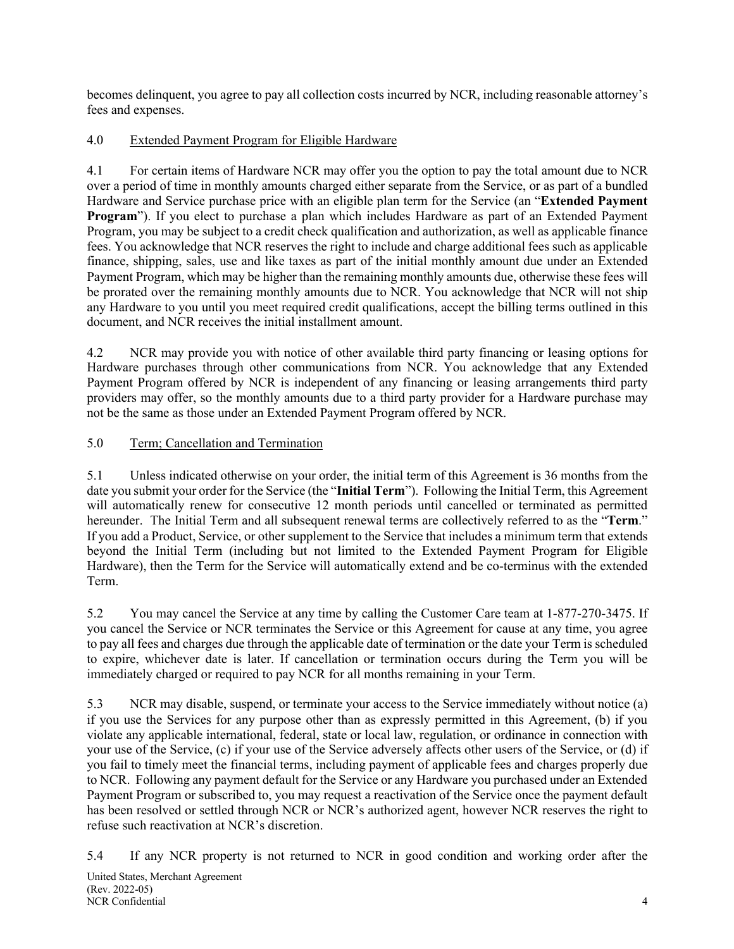becomes delinquent, you agree to pay all collection costs incurred by NCR, including reasonable attorney's fees and expenses.

## 4.0 Extended Payment Program for Eligible Hardware

4.1 For certain items of Hardware NCR may offer you the option to pay the total amount due to NCR over a period of time in monthly amounts charged either separate from the Service, or as part of a bundled Hardware and Service purchase price with an eligible plan term for the Service (an "**Extended Payment Program**"). If you elect to purchase a plan which includes Hardware as part of an Extended Payment Program, you may be subject to a credit check qualification and authorization, as well as applicable finance fees. You acknowledge that NCR reserves the right to include and charge additional fees such as applicable finance, shipping, sales, use and like taxes as part of the initial monthly amount due under an Extended Payment Program, which may be higher than the remaining monthly amounts due, otherwise these fees will be prorated over the remaining monthly amounts due to NCR. You acknowledge that NCR will not ship any Hardware to you until you meet required credit qualifications, accept the billing terms outlined in this document, and NCR receives the initial installment amount.

4.2 NCR may provide you with notice of other available third party financing or leasing options for Hardware purchases through other communications from NCR. You acknowledge that any Extended Payment Program offered by NCR is independent of any financing or leasing arrangements third party providers may offer, so the monthly amounts due to a third party provider for a Hardware purchase may not be the same as those under an Extended Payment Program offered by NCR.

## 5.0 Term; Cancellation and Termination

5.1 Unless indicated otherwise on your order, the initial term of this Agreement is 36 months from the date you submit your order for the Service (the "**Initial Term**"). Following the Initial Term, this Agreement will automatically renew for consecutive 12 month periods until cancelled or terminated as permitted hereunder. The Initial Term and all subsequent renewal terms are collectively referred to as the "**Term**." If you add a Product, Service, or other supplement to the Service that includes a minimum term that extends beyond the Initial Term (including but not limited to the Extended Payment Program for Eligible Hardware), then the Term for the Service will automatically extend and be co-terminus with the extended Term.

5.2 You may cancel the Service at any time by calling the Customer Care team at 1-877-270-3475. If you cancel the Service or NCR terminates the Service or this Agreement for cause at any time, you agree to pay all fees and charges due through the applicable date of termination or the date your Term is scheduled to expire, whichever date is later. If cancellation or termination occurs during the Term you will be immediately charged or required to pay NCR for all months remaining in your Term.

5.3 NCR may disable, suspend, or terminate your access to the Service immediately without notice (a) if you use the Services for any purpose other than as expressly permitted in this Agreement, (b) if you violate any applicable international, federal, state or local law, regulation, or ordinance in connection with your use of the Service, (c) if your use of the Service adversely affects other users of the Service, or (d) if you fail to timely meet the financial terms, including payment of applicable fees and charges properly due to NCR. Following any payment default for the Service or any Hardware you purchased under an Extended Payment Program or subscribed to, you may request a reactivation of the Service once the payment default has been resolved or settled through NCR or NCR's authorized agent, however NCR reserves the right to refuse such reactivation at NCR's discretion.

5.4 If any NCR property is not returned to NCR in good condition and working order after the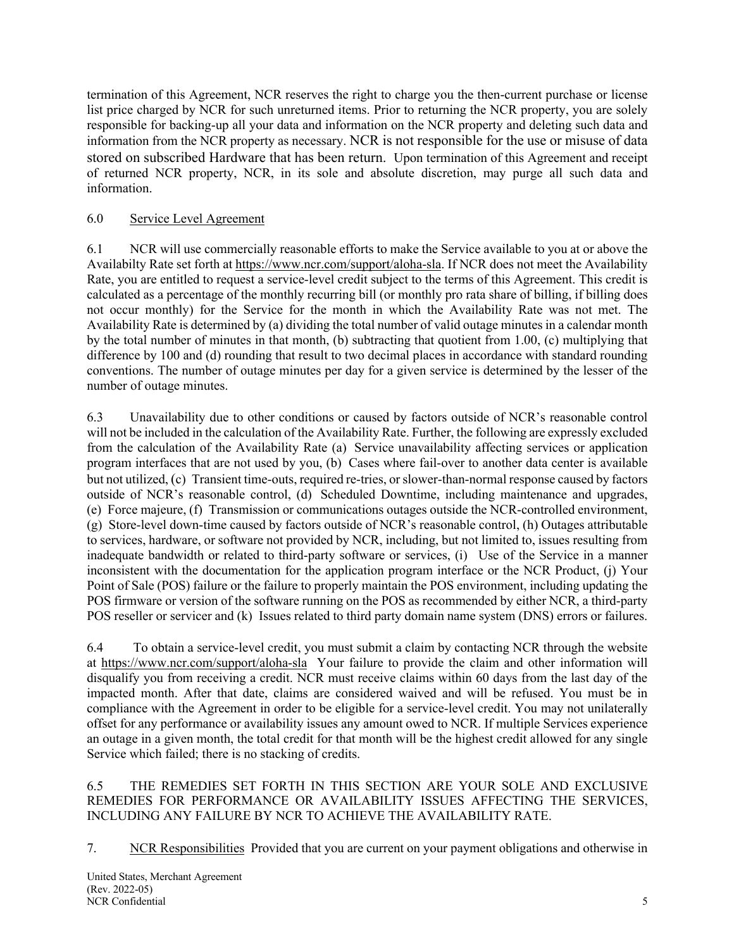termination of this Agreement, NCR reserves the right to charge you the then-current purchase or license list price charged by NCR for such unreturned items. Prior to returning the NCR property, you are solely responsible for backing-up all your data and information on the NCR property and deleting such data and information from the NCR property as necessary. NCR is not responsible for the use or misuse of data stored on subscribed Hardware that has been return. Upon termination of this Agreement and receipt of returned NCR property, NCR, in its sole and absolute discretion, may purge all such data and information.

## 6.0 Service Level Agreement

6.1 NCR will use commercially reasonable efforts to make the Service available to you at or above the Availabilty Rate set forth at https://www.ncr.com/support/aloha-sla. If NCR does not meet the Availability Rate, you are entitled to request a service-level credit subject to the terms of this Agreement. This credit is calculated as a percentage of the monthly recurring bill (or monthly pro rata share of billing, if billing does not occur monthly) for the Service for the month in which the Availability Rate was not met. The Availability Rate is determined by (a) dividing the total number of valid outage minutes in a calendar month by the total number of minutes in that month, (b) subtracting that quotient from 1.00, (c) multiplying that difference by 100 and (d) rounding that result to two decimal places in accordance with standard rounding conventions. The number of outage minutes per day for a given service is determined by the lesser of the number of outage minutes.

6.3 Unavailability due to other conditions or caused by factors outside of NCR's reasonable control will not be included in the calculation of the Availability Rate. Further, the following are expressly excluded from the calculation of the Availability Rate (a) Service unavailability affecting services or application program interfaces that are not used by you, (b) Cases where fail-over to another data center is available but not utilized, (c) Transient time-outs, required re-tries, or slower-than-normal response caused by factors outside of NCR's reasonable control, (d) Scheduled Downtime, including maintenance and upgrades, (e) Force majeure, (f) Transmission or communications outages outside the NCR-controlled environment, (g) Store-level down-time caused by factors outside of NCR's reasonable control, (h) Outages attributable to services, hardware, or software not provided by NCR, including, but not limited to, issues resulting from inadequate bandwidth or related to third-party software or services, (i) Use of the Service in a manner inconsistent with the documentation for the application program interface or the NCR Product, (j) Your Point of Sale (POS) failure or the failure to properly maintain the POS environment, including updating the POS firmware or version of the software running on the POS as recommended by either NCR, a third-party POS reseller or servicer and (k) Issues related to third party domain name system (DNS) errors or failures.

6.4 To obtain a service-level credit, you must submit a claim by contacting NCR through the website at https://www.ncr.com/support/aloha-sla Your failure to provide the claim and other information will disqualify you from receiving a credit. NCR must receive claims within 60 days from the last day of the impacted month. After that date, claims are considered waived and will be refused. You must be in compliance with the Agreement in order to be eligible for a service-level credit. You may not unilaterally offset for any performance or availability issues any amount owed to NCR. If multiple Services experience an outage in a given month, the total credit for that month will be the highest credit allowed for any single Service which failed; there is no stacking of credits.

6.5 THE REMEDIES SET FORTH IN THIS SECTION ARE YOUR SOLE AND EXCLUSIVE REMEDIES FOR PERFORMANCE OR AVAILABILITY ISSUES AFFECTING THE SERVICES, INCLUDING ANY FAILURE BY NCR TO ACHIEVE THE AVAILABILITY RATE.

7. NCR Responsibilities Provided that you are current on your payment obligations and otherwise in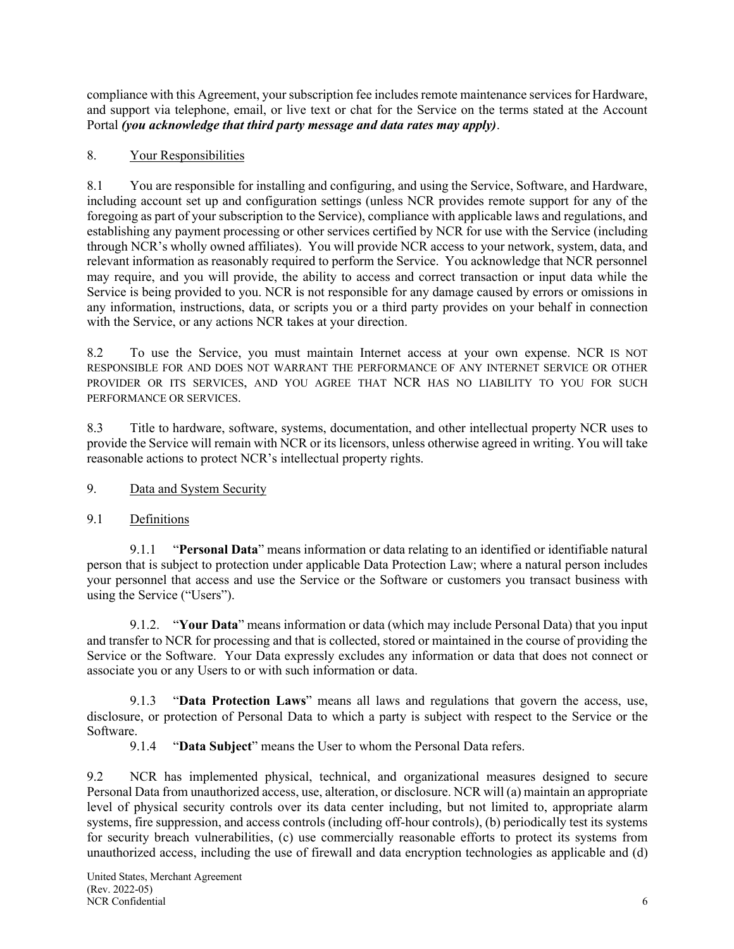compliance with this Agreement, yoursubscription fee includes remote maintenance services for Hardware, and support via telephone, email, or live text or chat for the Service on the terms stated at the Account Portal *(you acknowledge that third party message and data rates may apply)*.

## 8. Your Responsibilities

8.1 You are responsible for installing and configuring, and using the Service, Software, and Hardware, including account set up and configuration settings (unless NCR provides remote support for any of the foregoing as part of your subscription to the Service), compliance with applicable laws and regulations, and establishing any payment processing or other services certified by NCR for use with the Service (including through NCR's wholly owned affiliates). You will provide NCR access to your network, system, data, and relevant information as reasonably required to perform the Service. You acknowledge that NCR personnel may require, and you will provide, the ability to access and correct transaction or input data while the Service is being provided to you. NCR is not responsible for any damage caused by errors or omissions in any information, instructions, data, or scripts you or a third party provides on your behalf in connection with the Service, or any actions NCR takes at your direction.

8.2 To use the Service, you must maintain Internet access at your own expense. NCR IS NOT RESPONSIBLE FOR AND DOES NOT WARRANT THE PERFORMANCE OF ANY INTERNET SERVICE OR OTHER PROVIDER OR ITS SERVICES, AND YOU AGREE THAT NCR HAS NO LIABILITY TO YOU FOR SUCH PERFORMANCE OR SERVICES.

8.3 Title to hardware, software, systems, documentation, and other intellectual property NCR uses to provide the Service will remain with NCR or its licensors, unless otherwise agreed in writing. You will take reasonable actions to protect NCR's intellectual property rights.

- 9. Data and System Security
- 9.1 Definitions

9.1.1 "**Personal Data**" means information or data relating to an identified or identifiable natural person that is subject to protection under applicable Data Protection Law; where a natural person includes your personnel that access and use the Service or the Software or customers you transact business with using the Service ("Users").

9.1.2. "**Your Data**" means information or data (which may include Personal Data) that you input and transfer to NCR for processing and that is collected, stored or maintained in the course of providing the Service or the Software. Your Data expressly excludes any information or data that does not connect or associate you or any Users to or with such information or data.

9.1.3 "**Data Protection Laws**" means all laws and regulations that govern the access, use, disclosure, or protection of Personal Data to which a party is subject with respect to the Service or the Software.

9.1.4 "**Data Subject**" means the User to whom the Personal Data refers.

9.2 NCR has implemented physical, technical, and organizational measures designed to secure Personal Data from unauthorized access, use, alteration, or disclosure. NCR will (a) maintain an appropriate level of physical security controls over its data center including, but not limited to, appropriate alarm systems, fire suppression, and access controls (including off-hour controls), (b) periodically test its systems for security breach vulnerabilities, (c) use commercially reasonable efforts to protect its systems from unauthorized access, including the use of firewall and data encryption technologies as applicable and (d)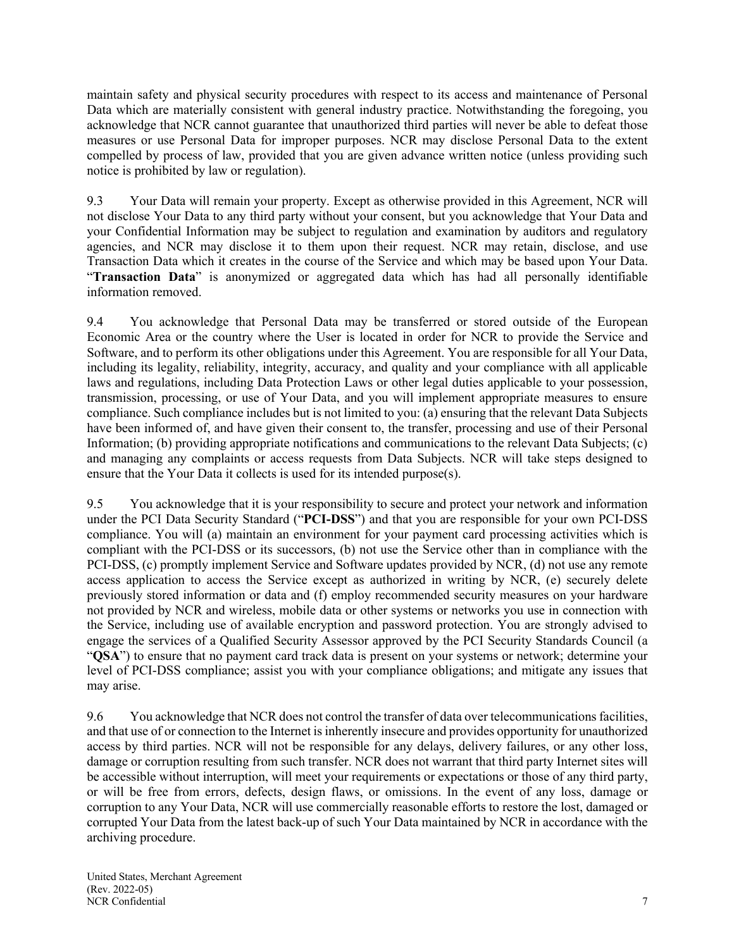maintain safety and physical security procedures with respect to its access and maintenance of Personal Data which are materially consistent with general industry practice. Notwithstanding the foregoing, you acknowledge that NCR cannot guarantee that unauthorized third parties will never be able to defeat those measures or use Personal Data for improper purposes. NCR may disclose Personal Data to the extent compelled by process of law, provided that you are given advance written notice (unless providing such notice is prohibited by law or regulation).

9.3 Your Data will remain your property. Except as otherwise provided in this Agreement, NCR will not disclose Your Data to any third party without your consent, but you acknowledge that Your Data and your Confidential Information may be subject to regulation and examination by auditors and regulatory agencies, and NCR may disclose it to them upon their request. NCR may retain, disclose, and use Transaction Data which it creates in the course of the Service and which may be based upon Your Data. "**Transaction Data**" is anonymized or aggregated data which has had all personally identifiable information removed.

9.4 You acknowledge that Personal Data may be transferred or stored outside of the European Economic Area or the country where the User is located in order for NCR to provide the Service and Software, and to perform its other obligations under this Agreement. You are responsible for all Your Data, including its legality, reliability, integrity, accuracy, and quality and your compliance with all applicable laws and regulations, including Data Protection Laws or other legal duties applicable to your possession, transmission, processing, or use of Your Data, and you will implement appropriate measures to ensure compliance. Such compliance includes but is not limited to you: (a) ensuring that the relevant Data Subjects have been informed of, and have given their consent to, the transfer, processing and use of their Personal Information; (b) providing appropriate notifications and communications to the relevant Data Subjects; (c) and managing any complaints or access requests from Data Subjects. NCR will take steps designed to ensure that the Your Data it collects is used for its intended purpose(s).

9.5 You acknowledge that it is your responsibility to secure and protect your network and information under the PCI Data Security Standard ("**PCI-DSS**") and that you are responsible for your own PCI-DSS compliance. You will (a) maintain an environment for your payment card processing activities which is compliant with the PCI-DSS or its successors, (b) not use the Service other than in compliance with the PCI-DSS, (c) promptly implement Service and Software updates provided by NCR, (d) not use any remote access application to access the Service except as authorized in writing by NCR, (e) securely delete previously stored information or data and (f) employ recommended security measures on your hardware not provided by NCR and wireless, mobile data or other systems or networks you use in connection with the Service, including use of available encryption and password protection. You are strongly advised to engage the services of a Qualified Security Assessor approved by the PCI Security Standards Council (a "**QSA**") to ensure that no payment card track data is present on your systems or network; determine your level of PCI-DSS compliance; assist you with your compliance obligations; and mitigate any issues that may arise.

9.6 You acknowledge that NCR does not control the transfer of data over telecommunications facilities, and that use of or connection to the Internet is inherently insecure and provides opportunity for unauthorized access by third parties. NCR will not be responsible for any delays, delivery failures, or any other loss, damage or corruption resulting from such transfer. NCR does not warrant that third party Internet sites will be accessible without interruption, will meet your requirements or expectations or those of any third party, or will be free from errors, defects, design flaws, or omissions. In the event of any loss, damage or corruption to any Your Data, NCR will use commercially reasonable efforts to restore the lost, damaged or corrupted Your Data from the latest back-up of such Your Data maintained by NCR in accordance with the archiving procedure.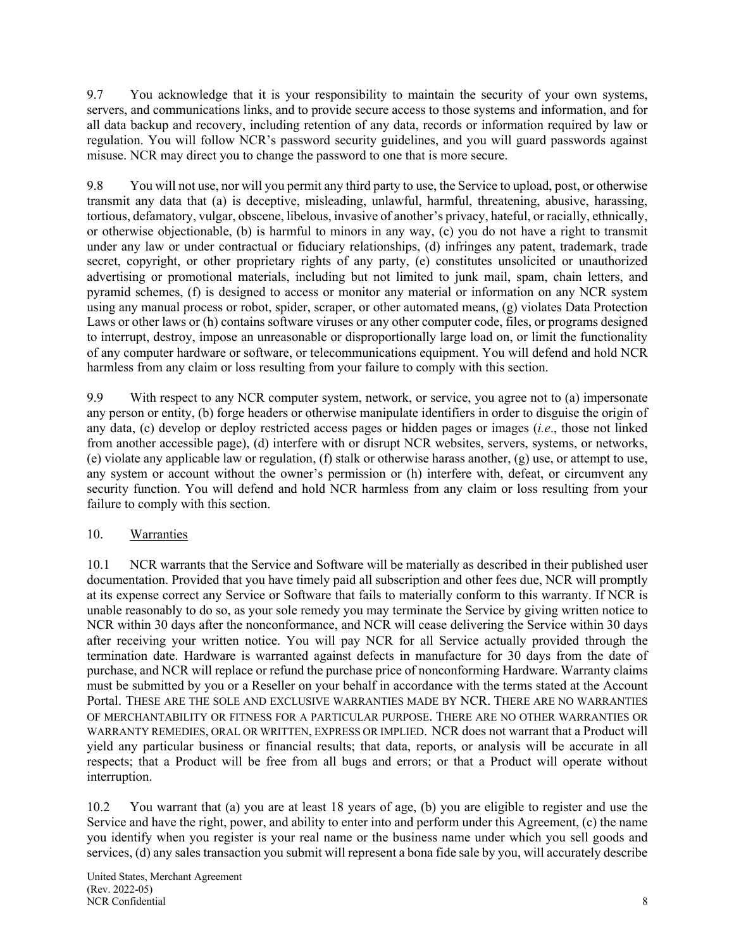9.7 You acknowledge that it is your responsibility to maintain the security of your own systems, servers, and communications links, and to provide secure access to those systems and information, and for all data backup and recovery, including retention of any data, records or information required by law or regulation. You will follow NCR's password security guidelines, and you will guard passwords against misuse. NCR may direct you to change the password to one that is more secure.

9.8 You will not use, nor will you permit any third party to use, the Service to upload, post, or otherwise transmit any data that (a) is deceptive, misleading, unlawful, harmful, threatening, abusive, harassing, tortious, defamatory, vulgar, obscene, libelous, invasive of another's privacy, hateful, or racially, ethnically, or otherwise objectionable, (b) is harmful to minors in any way, (c) you do not have a right to transmit under any law or under contractual or fiduciary relationships, (d) infringes any patent, trademark, trade secret, copyright, or other proprietary rights of any party, (e) constitutes unsolicited or unauthorized advertising or promotional materials, including but not limited to junk mail, spam, chain letters, and pyramid schemes, (f) is designed to access or monitor any material or information on any NCR system using any manual process or robot, spider, scraper, or other automated means, (g) violates Data Protection Laws or other laws or (h) contains software viruses or any other computer code, files, or programs designed to interrupt, destroy, impose an unreasonable or disproportionally large load on, or limit the functionality of any computer hardware or software, or telecommunications equipment. You will defend and hold NCR harmless from any claim or loss resulting from your failure to comply with this section.

9.9 With respect to any NCR computer system, network, or service, you agree not to (a) impersonate any person or entity, (b) forge headers or otherwise manipulate identifiers in order to disguise the origin of any data, (c) develop or deploy restricted access pages or hidden pages or images (*i.e*., those not linked from another accessible page), (d) interfere with or disrupt NCR websites, servers, systems, or networks, (e) violate any applicable law or regulation, (f) stalk or otherwise harass another, (g) use, or attempt to use, any system or account without the owner's permission or (h) interfere with, defeat, or circumvent any security function. You will defend and hold NCR harmless from any claim or loss resulting from your failure to comply with this section.

# 10. Warranties

10.1 NCR warrants that the Service and Software will be materially as described in their published user documentation. Provided that you have timely paid all subscription and other fees due, NCR will promptly at its expense correct any Service or Software that fails to materially conform to this warranty. If NCR is unable reasonably to do so, as your sole remedy you may terminate the Service by giving written notice to NCR within 30 days after the nonconformance, and NCR will cease delivering the Service within 30 days after receiving your written notice. You will pay NCR for all Service actually provided through the termination date. Hardware is warranted against defects in manufacture for 30 days from the date of purchase, and NCR will replace or refund the purchase price of nonconforming Hardware. Warranty claims must be submitted by you or a Reseller on your behalf in accordance with the terms stated at the Account Portal. THESE ARE THE SOLE AND EXCLUSIVE WARRANTIES MADE BY NCR. THERE ARE NO WARRANTIES OF MERCHANTABILITY OR FITNESS FOR A PARTICULAR PURPOSE. THERE ARE NO OTHER WARRANTIES OR WARRANTY REMEDIES, ORAL OR WRITTEN, EXPRESS OR IMPLIED. NCR does not warrant that a Product will yield any particular business or financial results; that data, reports, or analysis will be accurate in all respects; that a Product will be free from all bugs and errors; or that a Product will operate without interruption.

10.2 You warrant that (a) you are at least 18 years of age, (b) you are eligible to register and use the Service and have the right, power, and ability to enter into and perform under this Agreement, (c) the name you identify when you register is your real name or the business name under which you sell goods and services, (d) any sales transaction you submit will represent a bona fide sale by you, will accurately describe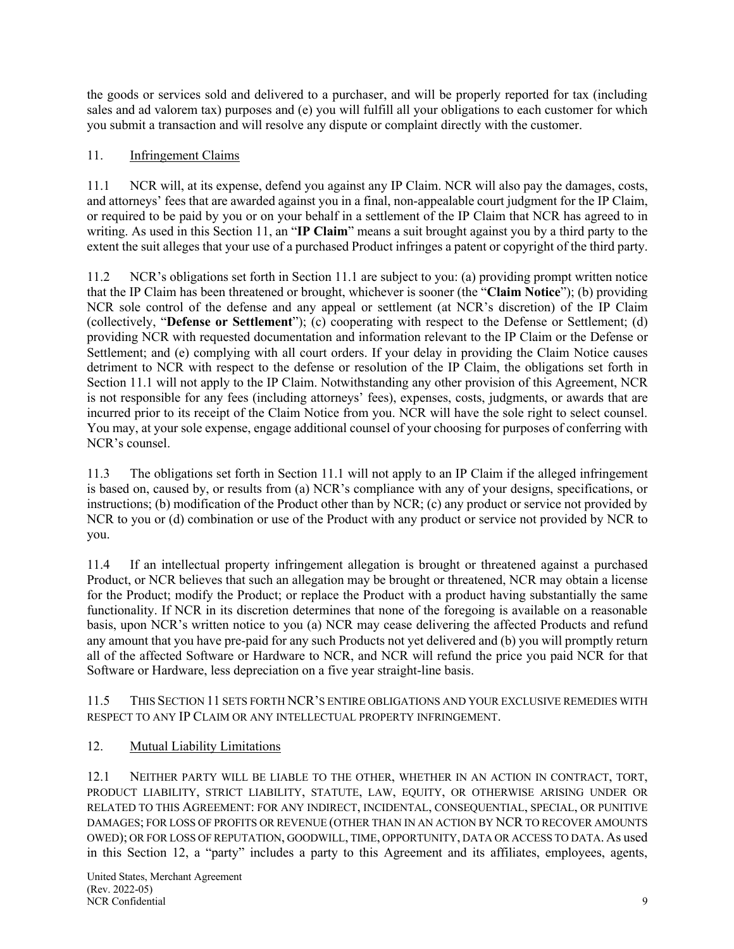the goods or services sold and delivered to a purchaser, and will be properly reported for tax (including sales and ad valorem tax) purposes and (e) you will fulfill all your obligations to each customer for which you submit a transaction and will resolve any dispute or complaint directly with the customer.

## 11. Infringement Claims

11.1 NCR will, at its expense, defend you against any IP Claim. NCR will also pay the damages, costs, and attorneys' fees that are awarded against you in a final, non-appealable court judgment for the IP Claim, or required to be paid by you or on your behalf in a settlement of the IP Claim that NCR has agreed to in writing. As used in this Section 11, an "**IP Claim**" means a suit brought against you by a third party to the extent the suit alleges that your use of a purchased Product infringes a patent or copyright of the third party.

11.2 NCR's obligations set forth in Section 11.1 are subject to you: (a) providing prompt written notice that the IP Claim has been threatened or brought, whichever is sooner (the "**Claim Notice**"); (b) providing NCR sole control of the defense and any appeal or settlement (at NCR's discretion) of the IP Claim (collectively, "**Defense or Settlement**"); (c) cooperating with respect to the Defense or Settlement; (d) providing NCR with requested documentation and information relevant to the IP Claim or the Defense or Settlement; and (e) complying with all court orders. If your delay in providing the Claim Notice causes detriment to NCR with respect to the defense or resolution of the IP Claim, the obligations set forth in Section 11.1 will not apply to the IP Claim. Notwithstanding any other provision of this Agreement, NCR is not responsible for any fees (including attorneys' fees), expenses, costs, judgments, or awards that are incurred prior to its receipt of the Claim Notice from you. NCR will have the sole right to select counsel. You may, at your sole expense, engage additional counsel of your choosing for purposes of conferring with NCR's counsel.

11.3 The obligations set forth in Section 11.1 will not apply to an IP Claim if the alleged infringement is based on, caused by, or results from (a) NCR's compliance with any of your designs, specifications, or instructions; (b) modification of the Product other than by NCR; (c) any product or service not provided by NCR to you or (d) combination or use of the Product with any product or service not provided by NCR to you.

11.4 If an intellectual property infringement allegation is brought or threatened against a purchased Product, or NCR believes that such an allegation may be brought or threatened, NCR may obtain a license for the Product; modify the Product; or replace the Product with a product having substantially the same functionality. If NCR in its discretion determines that none of the foregoing is available on a reasonable basis, upon NCR's written notice to you (a) NCR may cease delivering the affected Products and refund any amount that you have pre-paid for any such Products not yet delivered and (b) you will promptly return all of the affected Software or Hardware to NCR, and NCR will refund the price you paid NCR for that Software or Hardware, less depreciation on a five year straight-line basis.

11.5 THIS SECTION 11 SETS FORTH NCR'S ENTIRE OBLIGATIONS AND YOUR EXCLUSIVE REMEDIES WITH RESPECT TO ANY IP CLAIM OR ANY INTELLECTUAL PROPERTY INFRINGEMENT.

### 12. Mutual Liability Limitations

12.1 NEITHER PARTY WILL BE LIABLE TO THE OTHER, WHETHER IN AN ACTION IN CONTRACT, TORT, PRODUCT LIABILITY, STRICT LIABILITY, STATUTE, LAW, EQUITY, OR OTHERWISE ARISING UNDER OR RELATED TO THIS AGREEMENT: FOR ANY INDIRECT, INCIDENTAL, CONSEQUENTIAL, SPECIAL, OR PUNITIVE DAMAGES; FOR LOSS OF PROFITS OR REVENUE (OTHER THAN IN AN ACTION BY NCR TO RECOVER AMOUNTS OWED); OR FOR LOSS OF REPUTATION, GOODWILL, TIME, OPPORTUNITY, DATA OR ACCESS TO DATA. As used in this Section 12, a "party" includes a party to this Agreement and its affiliates, employees, agents,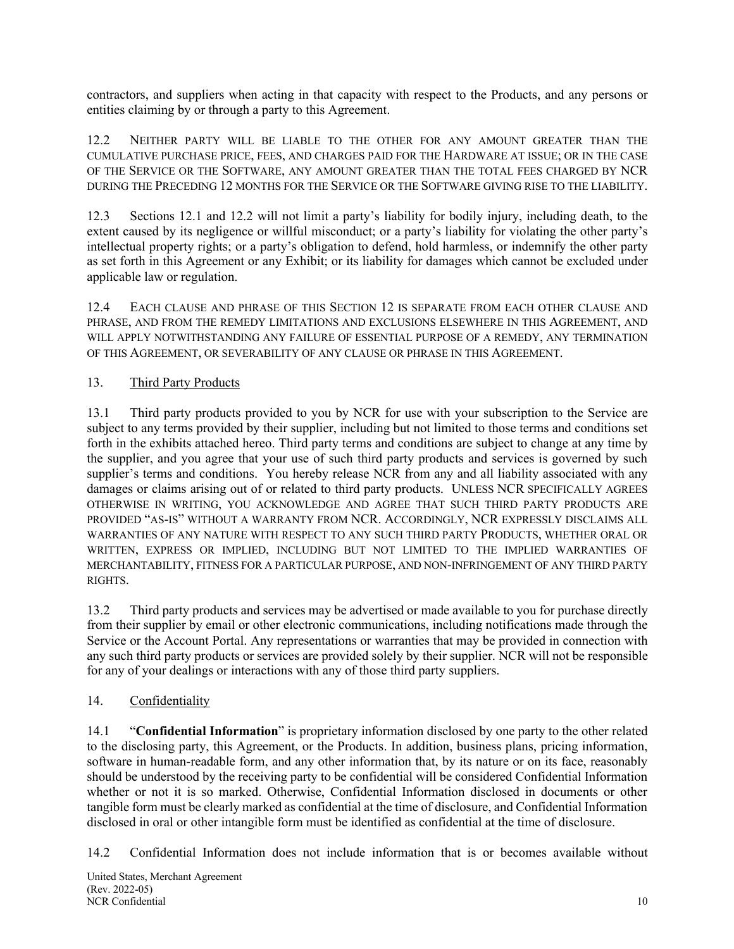contractors, and suppliers when acting in that capacity with respect to the Products, and any persons or entities claiming by or through a party to this Agreement.

12.2 NEITHER PARTY WILL BE LIABLE TO THE OTHER FOR ANY AMOUNT GREATER THAN THE CUMULATIVE PURCHASE PRICE, FEES, AND CHARGES PAID FOR THE HARDWARE AT ISSUE; OR IN THE CASE OF THE SERVICE OR THE SOFTWARE, ANY AMOUNT GREATER THAN THE TOTAL FEES CHARGED BY NCR DURING THE PRECEDING 12 MONTHS FOR THE SERVICE OR THE SOFTWARE GIVING RISE TO THE LIABILITY.

12.3 Sections 12.1 and 12.2 will not limit a party's liability for bodily injury, including death, to the extent caused by its negligence or willful misconduct; or a party's liability for violating the other party's intellectual property rights; or a party's obligation to defend, hold harmless, or indemnify the other party as set forth in this Agreement or any Exhibit; or its liability for damages which cannot be excluded under applicable law or regulation.

12.4 EACH CLAUSE AND PHRASE OF THIS SECTION 12 IS SEPARATE FROM EACH OTHER CLAUSE AND PHRASE, AND FROM THE REMEDY LIMITATIONS AND EXCLUSIONS ELSEWHERE IN THIS AGREEMENT, AND WILL APPLY NOTWITHSTANDING ANY FAILURE OF ESSENTIAL PURPOSE OF A REMEDY, ANY TERMINATION OF THIS AGREEMENT, OR SEVERABILITY OF ANY CLAUSE OR PHRASE IN THIS AGREEMENT.

# 13. Third Party Products

13.1 Third party products provided to you by NCR for use with your subscription to the Service are subject to any terms provided by their supplier, including but not limited to those terms and conditions set forth in the exhibits attached hereo. Third party terms and conditions are subject to change at any time by the supplier, and you agree that your use of such third party products and services is governed by such supplier's terms and conditions. You hereby release NCR from any and all liability associated with any damages or claims arising out of or related to third party products. UNLESS NCR SPECIFICALLY AGREES OTHERWISE IN WRITING, YOU ACKNOWLEDGE AND AGREE THAT SUCH THIRD PARTY PRODUCTS ARE PROVIDED "AS-IS" WITHOUT A WARRANTY FROM NCR. ACCORDINGLY, NCR EXPRESSLY DISCLAIMS ALL WARRANTIES OF ANY NATURE WITH RESPECT TO ANY SUCH THIRD PARTY PRODUCTS, WHETHER ORAL OR WRITTEN, EXPRESS OR IMPLIED, INCLUDING BUT NOT LIMITED TO THE IMPLIED WARRANTIES OF MERCHANTABILITY, FITNESS FOR A PARTICULAR PURPOSE, AND NON-INFRINGEMENT OF ANY THIRD PARTY RIGHTS.

13.2 Third party products and services may be advertised or made available to you for purchase directly from their supplier by email or other electronic communications, including notifications made through the Service or the Account Portal. Any representations or warranties that may be provided in connection with any such third party products or services are provided solely by their supplier. NCR will not be responsible for any of your dealings or interactions with any of those third party suppliers.

### 14. Confidentiality

14.1 "**Confidential Information**" is proprietary information disclosed by one party to the other related to the disclosing party, this Agreement, or the Products. In addition, business plans, pricing information, software in human-readable form, and any other information that, by its nature or on its face, reasonably should be understood by the receiving party to be confidential will be considered Confidential Information whether or not it is so marked. Otherwise, Confidential Information disclosed in documents or other tangible form must be clearly marked as confidential at the time of disclosure, and Confidential Information disclosed in oral or other intangible form must be identified as confidential at the time of disclosure.

14.2 Confidential Information does not include information that is or becomes available without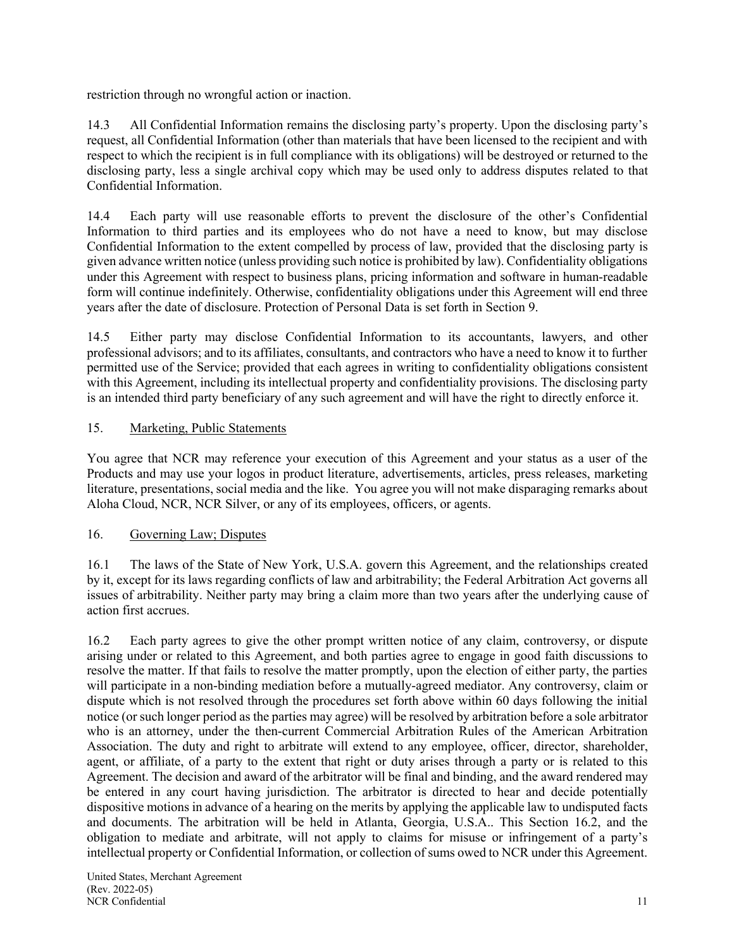restriction through no wrongful action or inaction.

14.3 All Confidential Information remains the disclosing party's property. Upon the disclosing party's request, all Confidential Information (other than materials that have been licensed to the recipient and with respect to which the recipient is in full compliance with its obligations) will be destroyed or returned to the disclosing party, less a single archival copy which may be used only to address disputes related to that Confidential Information.

14.4 Each party will use reasonable efforts to prevent the disclosure of the other's Confidential Information to third parties and its employees who do not have a need to know, but may disclose Confidential Information to the extent compelled by process of law, provided that the disclosing party is given advance written notice (unless providing such notice is prohibited by law). Confidentiality obligations under this Agreement with respect to business plans, pricing information and software in human-readable form will continue indefinitely. Otherwise, confidentiality obligations under this Agreement will end three years after the date of disclosure. Protection of Personal Data is set forth in Section 9.

14.5 Either party may disclose Confidential Information to its accountants, lawyers, and other professional advisors; and to its affiliates, consultants, and contractors who have a need to know it to further permitted use of the Service; provided that each agrees in writing to confidentiality obligations consistent with this Agreement, including its intellectual property and confidentiality provisions. The disclosing party is an intended third party beneficiary of any such agreement and will have the right to directly enforce it.

## 15. Marketing, Public Statements

You agree that NCR may reference your execution of this Agreement and your status as a user of the Products and may use your logos in product literature, advertisements, articles, press releases, marketing literature, presentations, social media and the like. You agree you will not make disparaging remarks about Aloha Cloud, NCR, NCR Silver, or any of its employees, officers, or agents.

### 16. Governing Law; Disputes

16.1 The laws of the State of New York, U.S.A. govern this Agreement, and the relationships created by it, except for its laws regarding conflicts of law and arbitrability; the Federal Arbitration Act governs all issues of arbitrability. Neither party may bring a claim more than two years after the underlying cause of action first accrues.

16.2 Each party agrees to give the other prompt written notice of any claim, controversy, or dispute arising under or related to this Agreement, and both parties agree to engage in good faith discussions to resolve the matter. If that fails to resolve the matter promptly, upon the election of either party, the parties will participate in a non-binding mediation before a mutually-agreed mediator. Any controversy, claim or dispute which is not resolved through the procedures set forth above within 60 days following the initial notice (or such longer period as the parties may agree) will be resolved by arbitration before a sole arbitrator who is an attorney, under the then-current Commercial Arbitration Rules of the American Arbitration Association. The duty and right to arbitrate will extend to any employee, officer, director, shareholder, agent, or affiliate, of a party to the extent that right or duty arises through a party or is related to this Agreement. The decision and award of the arbitrator will be final and binding, and the award rendered may be entered in any court having jurisdiction. The arbitrator is directed to hear and decide potentially dispositive motions in advance of a hearing on the merits by applying the applicable law to undisputed facts and documents. The arbitration will be held in Atlanta, Georgia, U.S.A.. This Section 16.2, and the obligation to mediate and arbitrate, will not apply to claims for misuse or infringement of a party's intellectual property or Confidential Information, or collection of sums owed to NCR under this Agreement.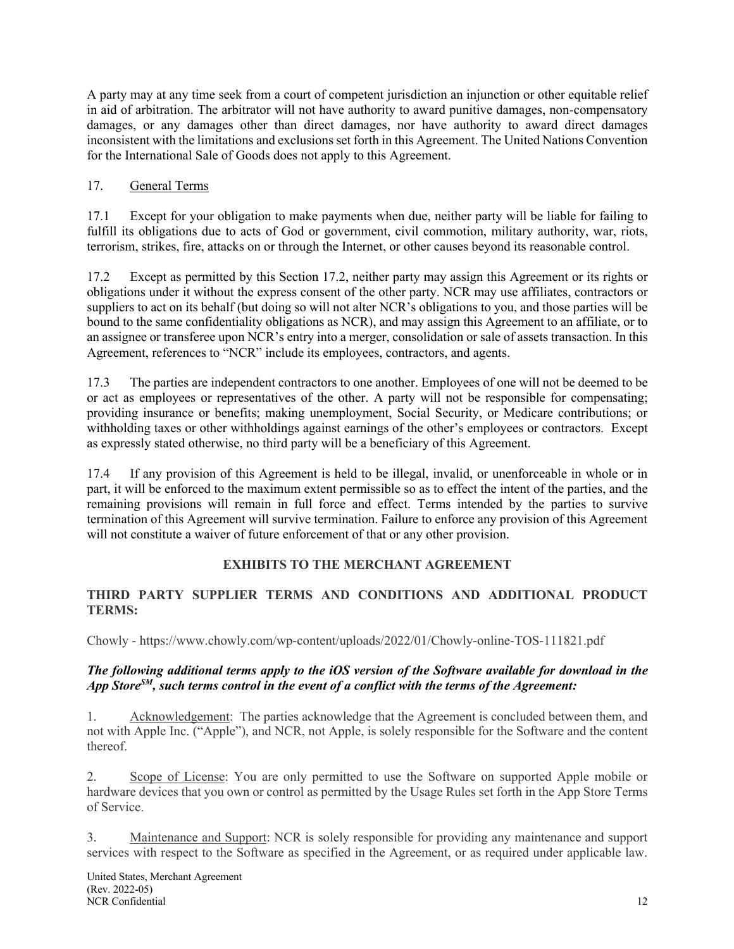A party may at any time seek from a court of competent jurisdiction an injunction or other equitable relief in aid of arbitration. The arbitrator will not have authority to award punitive damages, non-compensatory damages, or any damages other than direct damages, nor have authority to award direct damages inconsistent with the limitations and exclusions set forth in this Agreement. The United Nations Convention for the International Sale of Goods does not apply to this Agreement.

# 17. General Terms

17.1 Except for your obligation to make payments when due, neither party will be liable for failing to fulfill its obligations due to acts of God or government, civil commotion, military authority, war, riots, terrorism, strikes, fire, attacks on or through the Internet, or other causes beyond its reasonable control.

17.2 Except as permitted by this Section 17.2, neither party may assign this Agreement or its rights or obligations under it without the express consent of the other party. NCR may use affiliates, contractors or suppliers to act on its behalf (but doing so will not alter NCR's obligations to you, and those parties will be bound to the same confidentiality obligations as NCR), and may assign this Agreement to an affiliate, or to an assignee or transferee upon NCR's entry into a merger, consolidation or sale of assets transaction. In this Agreement, references to "NCR" include its employees, contractors, and agents.

17.3 The parties are independent contractors to one another. Employees of one will not be deemed to be or act as employees or representatives of the other. A party will not be responsible for compensating; providing insurance or benefits; making unemployment, Social Security, or Medicare contributions; or withholding taxes or other withholdings against earnings of the other's employees or contractors. Except as expressly stated otherwise, no third party will be a beneficiary of this Agreement.

17.4 If any provision of this Agreement is held to be illegal, invalid, or unenforceable in whole or in part, it will be enforced to the maximum extent permissible so as to effect the intent of the parties, and the remaining provisions will remain in full force and effect. Terms intended by the parties to survive termination of this Agreement will survive termination. Failure to enforce any provision of this Agreement will not constitute a waiver of future enforcement of that or any other provision.

# **EXHIBITS TO THE MERCHANT AGREEMENT**

### **THIRD PARTY SUPPLIER TERMS AND CONDITIONS AND ADDITIONAL PRODUCT TERMS:**

Chowly - https://www.chowly.com/wp-content/uploads/2022/01/Chowly-online-TOS-111821.pdf

## *The following additional terms apply to the iOS version of the Software available for download in the App StoreSM, such terms control in the event of a conflict with the terms of the Agreement:*

1. Acknowledgement: The parties acknowledge that the Agreement is concluded between them, and not with Apple Inc. ("Apple"), and NCR, not Apple, is solely responsible for the Software and the content thereof.

2. Scope of License: You are only permitted to use the Software on supported Apple mobile or hardware devices that you own or control as permitted by the Usage Rules set forth in the App Store Terms of Service.

3. Maintenance and Support: NCR is solely responsible for providing any maintenance and support services with respect to the Software as specified in the Agreement, or as required under applicable law.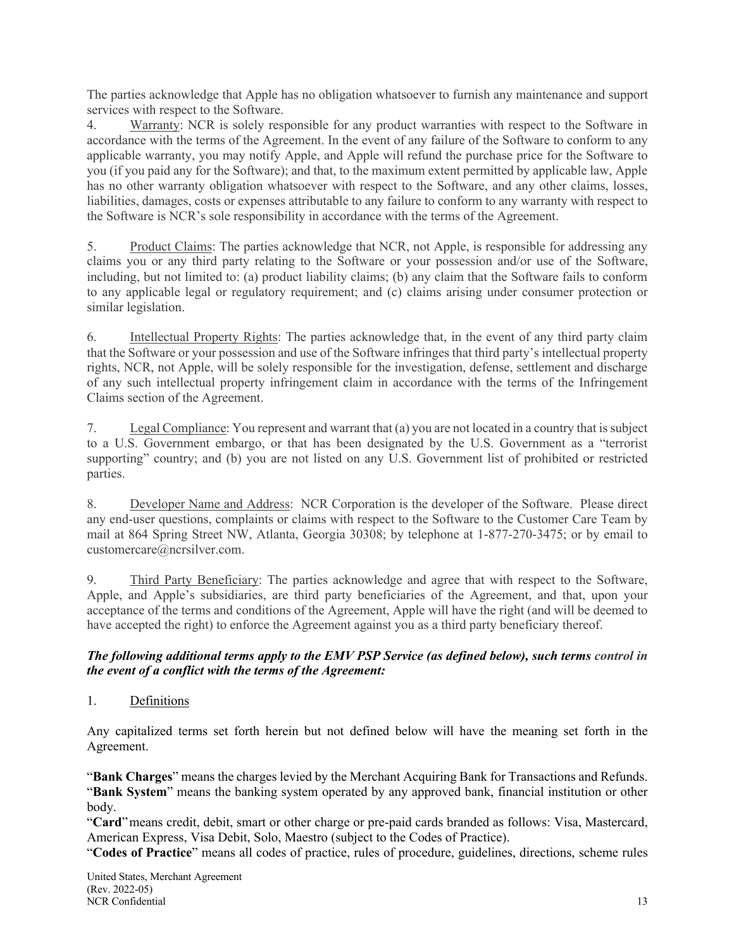The parties acknowledge that Apple has no obligation whatsoever to furnish any maintenance and support services with respect to the Software.

4. Warranty: NCR is solely responsible for any product warranties with respect to the Software in accordance with the terms of the Agreement. In the event of any failure of the Software to conform to any applicable warranty, you may notify Apple, and Apple will refund the purchase price for the Software to you (if you paid any for the Software); and that, to the maximum extent permitted by applicable law, Apple has no other warranty obligation whatsoever with respect to the Software, and any other claims, losses, liabilities, damages, costs or expenses attributable to any failure to conform to any warranty with respect to the Software is NCR's sole responsibility in accordance with the terms of the Agreement.

5. Product Claims: The parties acknowledge that NCR, not Apple, is responsible for addressing any claims you or any third party relating to the Software or your possession and/or use of the Software, including, but not limited to: (a) product liability claims; (b) any claim that the Software fails to conform to any applicable legal or regulatory requirement; and (c) claims arising under consumer protection or similar legislation.

6. Intellectual Property Rights: The parties acknowledge that, in the event of any third party claim that the Software or your possession and use of the Software infringes that third party's intellectual property rights, NCR, not Apple, will be solely responsible for the investigation, defense, settlement and discharge of any such intellectual property infringement claim in accordance with the terms of the Infringement Claims section of the Agreement.

7. Legal Compliance: You represent and warrant that (a) you are not located in a country that is subject to a U.S. Government embargo, or that has been designated by the U.S. Government as a "terrorist supporting" country; and (b) you are not listed on any U.S. Government list of prohibited or restricted parties.

8. Developer Name and Address: NCR Corporation is the developer of the Software. Please direct any end-user questions, complaints or claims with respect to the Software to the Customer Care Team by mail at 864 Spring Street NW, Atlanta, Georgia 30308; by telephone at 1-877-270-3475; or by email to customercare@ncrsilver.com.

9. Third Party Beneficiary: The parties acknowledge and agree that with respect to the Software, Apple, and Apple's subsidiaries, are third party beneficiaries of the Agreement, and that, upon your acceptance of the terms and conditions of the Agreement, Apple will have the right (and will be deemed to have accepted the right) to enforce the Agreement against you as a third party beneficiary thereof.

### *The following additional terms apply to the EMV PSP Service (as defined below), such terms control in the event of a conflict with the terms of the Agreement:*

1. Definitions

Any capitalized terms set forth herein but not defined below will have the meaning set forth in the Agreement.

"**Bank Charges**" means the charges levied by the Merchant Acquiring Bank for Transactions and Refunds. "**Bank System**" means the banking system operated by any approved bank, financial institution or other body.

"**Card**"means credit, debit, smart or other charge or pre-paid cards branded as follows: Visa, Mastercard, American Express, Visa Debit, Solo, Maestro (subject to the Codes of Practice).

"**Codes of Practice**" means all codes of practice, rules of procedure, guidelines, directions, scheme rules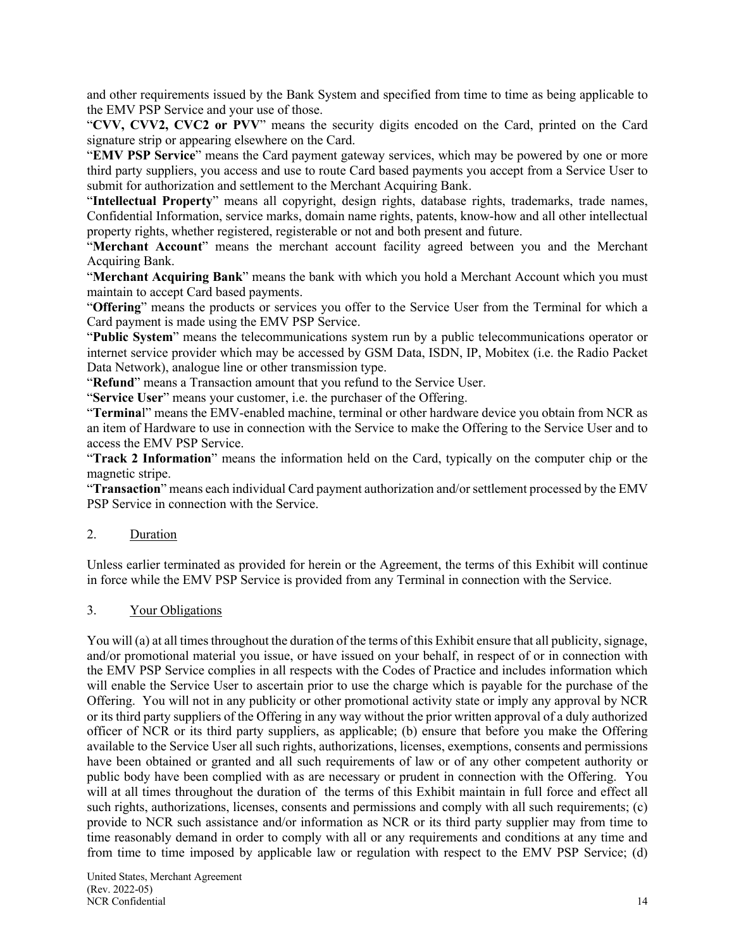and other requirements issued by the Bank System and specified from time to time as being applicable to the EMV PSP Service and your use of those.

"**CVV, CVV2, CVC2 or PVV**" means the security digits encoded on the Card, printed on the Card signature strip or appearing elsewhere on the Card.

"**EMV PSP Service**" means the Card payment gateway services, which may be powered by one or more third party suppliers, you access and use to route Card based payments you accept from a Service User to submit for authorization and settlement to the Merchant Acquiring Bank.

"**Intellectual Property**" means all copyright, design rights, database rights, trademarks, trade names, Confidential Information, service marks, domain name rights, patents, know-how and all other intellectual property rights, whether registered, registerable or not and both present and future.

"**Merchant Account**" means the merchant account facility agreed between you and the Merchant Acquiring Bank.

"**Merchant Acquiring Bank**" means the bank with which you hold a Merchant Account which you must maintain to accept Card based payments.

"**Offering**" means the products or services you offer to the Service User from the Terminal for which a Card payment is made using the EMV PSP Service.

"**Public System**" means the telecommunications system run by a public telecommunications operator or internet service provider which may be accessed by GSM Data, ISDN, IP, Mobitex (i.e. the Radio Packet Data Network), analogue line or other transmission type.

"**Refund**" means a Transaction amount that you refund to the Service User.

"**Service User**" means your customer, i.e. the purchaser of the Offering.

"**Termina**l" means the EMV-enabled machine, terminal or other hardware device you obtain from NCR as an item of Hardware to use in connection with the Service to make the Offering to the Service User and to access the EMV PSP Service.

"**Track 2 Information**" means the information held on the Card, typically on the computer chip or the magnetic stripe.

"**Transaction**" means each individual Card payment authorization and/or settlement processed by the EMV PSP Service in connection with the Service.

#### 2. Duration

Unless earlier terminated as provided for herein or the Agreement, the terms of this Exhibit will continue in force while the EMV PSP Service is provided from any Terminal in connection with the Service.

#### 3. Your Obligations

You will (a) at all times throughout the duration of the terms of this Exhibit ensure that all publicity, signage, and/or promotional material you issue, or have issued on your behalf, in respect of or in connection with the EMV PSP Service complies in all respects with the Codes of Practice and includes information which will enable the Service User to ascertain prior to use the charge which is payable for the purchase of the Offering. You will not in any publicity or other promotional activity state or imply any approval by NCR or its third party suppliers of the Offering in any way without the prior written approval of a duly authorized officer of NCR or its third party suppliers, as applicable; (b) ensure that before you make the Offering available to the Service User all such rights, authorizations, licenses, exemptions, consents and permissions have been obtained or granted and all such requirements of law or of any other competent authority or public body have been complied with as are necessary or prudent in connection with the Offering. You will at all times throughout the duration of the terms of this Exhibit maintain in full force and effect all such rights, authorizations, licenses, consents and permissions and comply with all such requirements; (c) provide to NCR such assistance and/or information as NCR or its third party supplier may from time to time reasonably demand in order to comply with all or any requirements and conditions at any time and from time to time imposed by applicable law or regulation with respect to the EMV PSP Service; (d)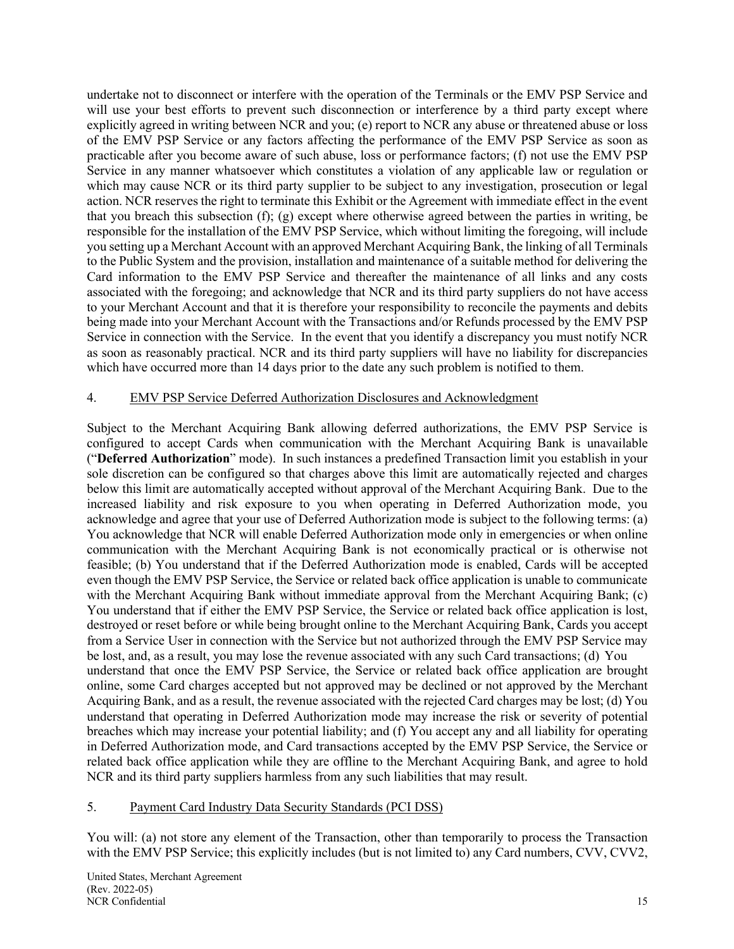undertake not to disconnect or interfere with the operation of the Terminals or the EMV PSP Service and will use your best efforts to prevent such disconnection or interference by a third party except where explicitly agreed in writing between NCR and you; (e) report to NCR any abuse or threatened abuse or loss of the EMV PSP Service or any factors affecting the performance of the EMV PSP Service as soon as practicable after you become aware of such abuse, loss or performance factors; (f) not use the EMV PSP Service in any manner whatsoever which constitutes a violation of any applicable law or regulation or which may cause NCR or its third party supplier to be subject to any investigation, prosecution or legal action. NCR reserves the right to terminate this Exhibit or the Agreement with immediate effect in the event that you breach this subsection  $(f)$ ;  $(g)$  except where otherwise agreed between the parties in writing, be responsible for the installation of the EMV PSP Service, which without limiting the foregoing, will include you setting up a Merchant Account with an approved Merchant Acquiring Bank, the linking of all Terminals to the Public System and the provision, installation and maintenance of a suitable method for delivering the Card information to the EMV PSP Service and thereafter the maintenance of all links and any costs associated with the foregoing; and acknowledge that NCR and its third party suppliers do not have access to your Merchant Account and that it is therefore your responsibility to reconcile the payments and debits being made into your Merchant Account with the Transactions and/or Refunds processed by the EMV PSP Service in connection with the Service. In the event that you identify a discrepancy you must notify NCR as soon as reasonably practical. NCR and its third party suppliers will have no liability for discrepancies which have occurred more than 14 days prior to the date any such problem is notified to them.

### 4. EMV PSP Service Deferred Authorization Disclosures and Acknowledgment

Subject to the Merchant Acquiring Bank allowing deferred authorizations, the EMV PSP Service is configured to accept Cards when communication with the Merchant Acquiring Bank is unavailable ("**Deferred Authorization**" mode). In such instances a predefined Transaction limit you establish in your sole discretion can be configured so that charges above this limit are automatically rejected and charges below this limit are automatically accepted without approval of the Merchant Acquiring Bank. Due to the increased liability and risk exposure to you when operating in Deferred Authorization mode, you acknowledge and agree that your use of Deferred Authorization mode is subject to the following terms: (a) You acknowledge that NCR will enable Deferred Authorization mode only in emergencies or when online communication with the Merchant Acquiring Bank is not economically practical or is otherwise not feasible; (b) You understand that if the Deferred Authorization mode is enabled, Cards will be accepted even though the EMV PSP Service, the Service or related back office application is unable to communicate with the Merchant Acquiring Bank without immediate approval from the Merchant Acquiring Bank; (c) You understand that if either the EMV PSP Service, the Service or related back office application is lost, destroyed or reset before or while being brought online to the Merchant Acquiring Bank, Cards you accept from a Service User in connection with the Service but not authorized through the EMV PSP Service may be lost, and, as a result, you may lose the revenue associated with any such Card transactions; (d) You understand that once the EMV PSP Service, the Service or related back office application are brought online, some Card charges accepted but not approved may be declined or not approved by the Merchant Acquiring Bank, and as a result, the revenue associated with the rejected Card charges may be lost; (d) You understand that operating in Deferred Authorization mode may increase the risk or severity of potential breaches which may increase your potential liability; and (f) You accept any and all liability for operating in Deferred Authorization mode, and Card transactions accepted by the EMV PSP Service, the Service or related back office application while they are offline to the Merchant Acquiring Bank, and agree to hold NCR and its third party suppliers harmless from any such liabilities that may result.

#### 5. Payment Card Industry Data Security Standards (PCI DSS)

You will: (a) not store any element of the Transaction, other than temporarily to process the Transaction with the EMV PSP Service; this explicitly includes (but is not limited to) any Card numbers, CVV, CVV2,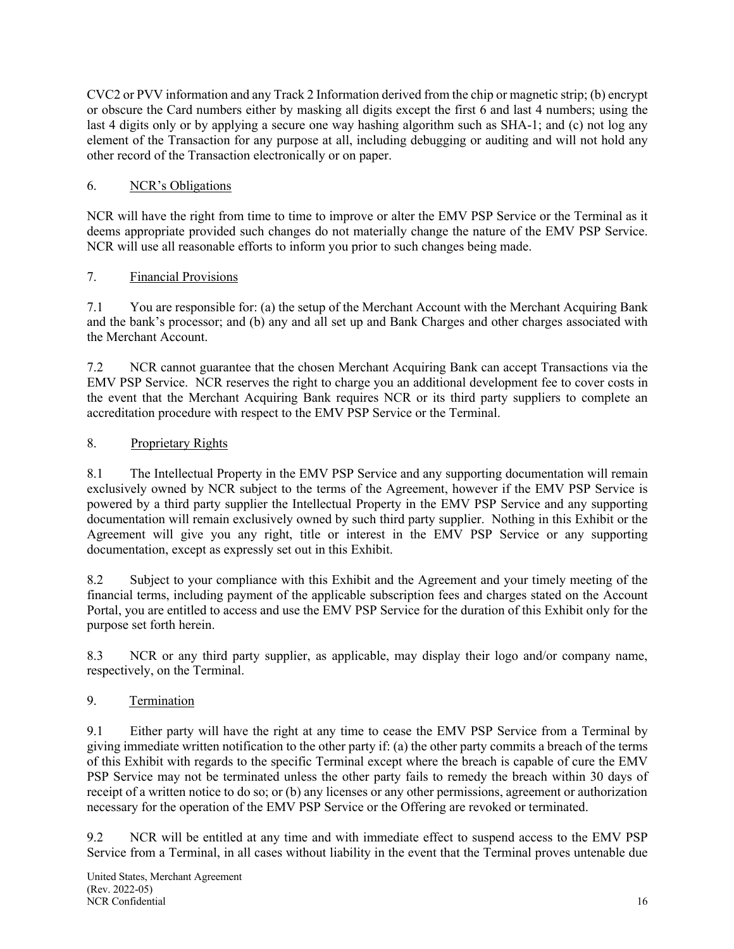CVC2 or PVV information and any Track 2 Information derived from the chip or magnetic strip; (b) encrypt or obscure the Card numbers either by masking all digits except the first 6 and last 4 numbers; using the last 4 digits only or by applying a secure one way hashing algorithm such as SHA-1; and (c) not log any element of the Transaction for any purpose at all, including debugging or auditing and will not hold any other record of the Transaction electronically or on paper.

# 6. NCR's Obligations

NCR will have the right from time to time to improve or alter the EMV PSP Service or the Terminal as it deems appropriate provided such changes do not materially change the nature of the EMV PSP Service. NCR will use all reasonable efforts to inform you prior to such changes being made.

# 7. Financial Provisions

7.1 You are responsible for: (a) the setup of the Merchant Account with the Merchant Acquiring Bank and the bank's processor; and (b) any and all set up and Bank Charges and other charges associated with the Merchant Account.

7.2 NCR cannot guarantee that the chosen Merchant Acquiring Bank can accept Transactions via the EMV PSP Service. NCR reserves the right to charge you an additional development fee to cover costs in the event that the Merchant Acquiring Bank requires NCR or its third party suppliers to complete an accreditation procedure with respect to the EMV PSP Service or the Terminal.

# 8. Proprietary Rights

8.1 The Intellectual Property in the EMV PSP Service and any supporting documentation will remain exclusively owned by NCR subject to the terms of the Agreement, however if the EMV PSP Service is powered by a third party supplier the Intellectual Property in the EMV PSP Service and any supporting documentation will remain exclusively owned by such third party supplier. Nothing in this Exhibit or the Agreement will give you any right, title or interest in the EMV PSP Service or any supporting documentation, except as expressly set out in this Exhibit.

8.2 Subject to your compliance with this Exhibit and the Agreement and your timely meeting of the financial terms, including payment of the applicable subscription fees and charges stated on the Account Portal, you are entitled to access and use the EMV PSP Service for the duration of this Exhibit only for the purpose set forth herein.

8.3 NCR or any third party supplier, as applicable, may display their logo and/or company name, respectively, on the Terminal.

# 9. Termination

9.1 Either party will have the right at any time to cease the EMV PSP Service from a Terminal by giving immediate written notification to the other party if: (a) the other party commits a breach of the terms of this Exhibit with regards to the specific Terminal except where the breach is capable of cure the EMV PSP Service may not be terminated unless the other party fails to remedy the breach within 30 days of receipt of a written notice to do so; or (b) any licenses or any other permissions, agreement or authorization necessary for the operation of the EMV PSP Service or the Offering are revoked or terminated.

9.2 NCR will be entitled at any time and with immediate effect to suspend access to the EMV PSP Service from a Terminal, in all cases without liability in the event that the Terminal proves untenable due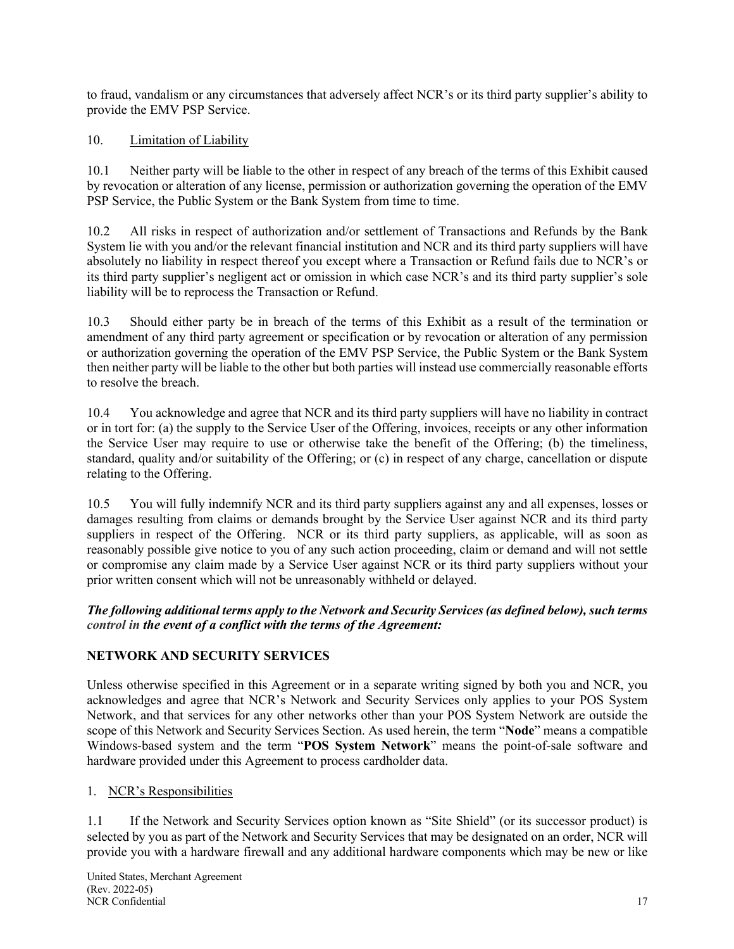to fraud, vandalism or any circumstances that adversely affect NCR's or its third party supplier's ability to provide the EMV PSP Service.

## 10. Limitation of Liability

10.1 Neither party will be liable to the other in respect of any breach of the terms of this Exhibit caused by revocation or alteration of any license, permission or authorization governing the operation of the EMV PSP Service, the Public System or the Bank System from time to time.

10.2 All risks in respect of authorization and/or settlement of Transactions and Refunds by the Bank System lie with you and/or the relevant financial institution and NCR and its third party suppliers will have absolutely no liability in respect thereof you except where a Transaction or Refund fails due to NCR's or its third party supplier's negligent act or omission in which case NCR's and its third party supplier's sole liability will be to reprocess the Transaction or Refund.

10.3 Should either party be in breach of the terms of this Exhibit as a result of the termination or amendment of any third party agreement or specification or by revocation or alteration of any permission or authorization governing the operation of the EMV PSP Service, the Public System or the Bank System then neither party will be liable to the other but both parties will instead use commercially reasonable efforts to resolve the breach.

10.4 You acknowledge and agree that NCR and its third party suppliers will have no liability in contract or in tort for: (a) the supply to the Service User of the Offering, invoices, receipts or any other information the Service User may require to use or otherwise take the benefit of the Offering; (b) the timeliness, standard, quality and/or suitability of the Offering; or (c) in respect of any charge, cancellation or dispute relating to the Offering.

10.5 You will fully indemnify NCR and its third party suppliers against any and all expenses, losses or damages resulting from claims or demands brought by the Service User against NCR and its third party suppliers in respect of the Offering. NCR or its third party suppliers, as applicable, will as soon as reasonably possible give notice to you of any such action proceeding, claim or demand and will not settle or compromise any claim made by a Service User against NCR or its third party suppliers without your prior written consent which will not be unreasonably withheld or delayed.

### *The following additional terms apply to the Network and Security Services(as defined below), such terms control in the event of a conflict with the terms of the Agreement:*

# **NETWORK AND SECURITY SERVICES**

Unless otherwise specified in this Agreement or in a separate writing signed by both you and NCR, you acknowledges and agree that NCR's Network and Security Services only applies to your POS System Network, and that services for any other networks other than your POS System Network are outside the scope of this Network and Security Services Section. As used herein, the term "**Node**" means a compatible Windows-based system and the term "**POS System Network**" means the point-of-sale software and hardware provided under this Agreement to process cardholder data.

# 1. NCR's Responsibilities

1.1 If the Network and Security Services option known as "Site Shield" (or its successor product) is selected by you as part of the Network and Security Services that may be designated on an order, NCR will provide you with a hardware firewall and any additional hardware components which may be new or like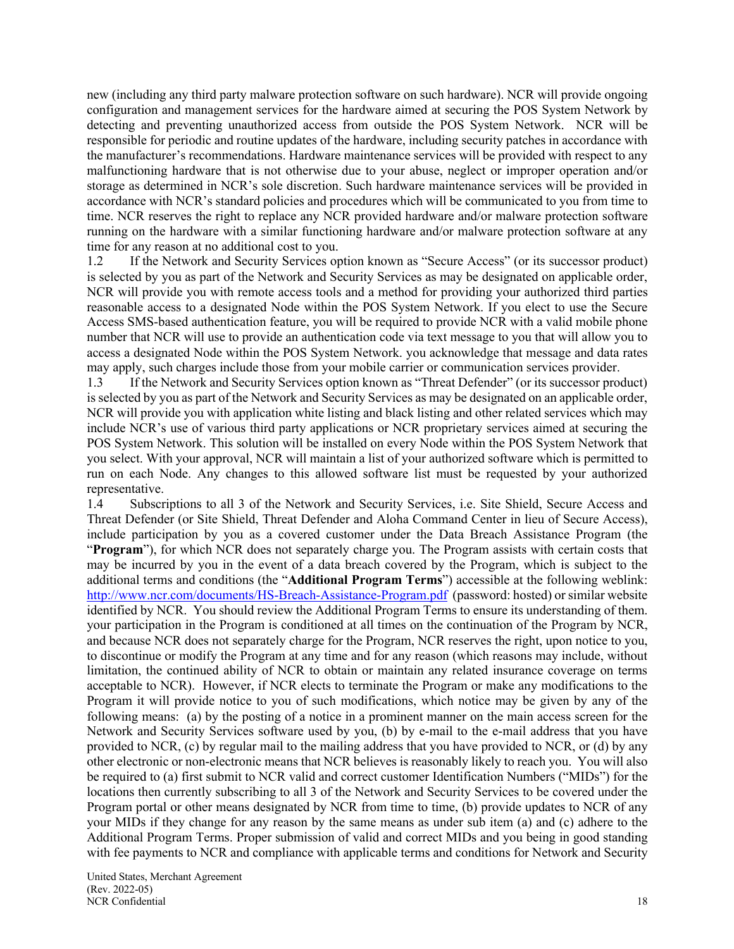new (including any third party malware protection software on such hardware). NCR will provide ongoing configuration and management services for the hardware aimed at securing the POS System Network by detecting and preventing unauthorized access from outside the POS System Network. NCR will be responsible for periodic and routine updates of the hardware, including security patches in accordance with the manufacturer's recommendations. Hardware maintenance services will be provided with respect to any malfunctioning hardware that is not otherwise due to your abuse, neglect or improper operation and/or storage as determined in NCR's sole discretion. Such hardware maintenance services will be provided in accordance with NCR's standard policies and procedures which will be communicated to you from time to time. NCR reserves the right to replace any NCR provided hardware and/or malware protection software running on the hardware with a similar functioning hardware and/or malware protection software at any time for any reason at no additional cost to you.

1.2 If the Network and Security Services option known as "Secure Access" (or its successor product) is selected by you as part of the Network and Security Services as may be designated on applicable order, NCR will provide you with remote access tools and a method for providing your authorized third parties reasonable access to a designated Node within the POS System Network. If you elect to use the Secure Access SMS-based authentication feature, you will be required to provide NCR with a valid mobile phone number that NCR will use to provide an authentication code via text message to you that will allow you to access a designated Node within the POS System Network. you acknowledge that message and data rates may apply, such charges include those from your mobile carrier or communication services provider.

1.3 If the Network and Security Services option known as "Threat Defender" (or its successor product) is selected by you as part of the Network and Security Services as may be designated on an applicable order, NCR will provide you with application white listing and black listing and other related services which may include NCR's use of various third party applications or NCR proprietary services aimed at securing the POS System Network. This solution will be installed on every Node within the POS System Network that you select. With your approval, NCR will maintain a list of your authorized software which is permitted to run on each Node. Any changes to this allowed software list must be requested by your authorized representative.

1.4 Subscriptions to all 3 of the Network and Security Services, i.e. Site Shield, Secure Access and Threat Defender (or Site Shield, Threat Defender and Aloha Command Center in lieu of Secure Access), include participation by you as a covered customer under the Data Breach Assistance Program (the "**Program**"), for which NCR does not separately charge you. The Program assists with certain costs that may be incurred by you in the event of a data breach covered by the Program, which is subject to the additional terms and conditions (the "**Additional Program Terms**") accessible at the following weblink: http://www.ncr.com/documents/HS-Breach-Assistance-Program.pdf (password: hosted) or similar website identified by NCR. You should review the Additional Program Terms to ensure its understanding of them. your participation in the Program is conditioned at all times on the continuation of the Program by NCR, and because NCR does not separately charge for the Program, NCR reserves the right, upon notice to you, to discontinue or modify the Program at any time and for any reason (which reasons may include, without limitation, the continued ability of NCR to obtain or maintain any related insurance coverage on terms acceptable to NCR). However, if NCR elects to terminate the Program or make any modifications to the Program it will provide notice to you of such modifications, which notice may be given by any of the following means: (a) by the posting of a notice in a prominent manner on the main access screen for the Network and Security Services software used by you, (b) by e-mail to the e-mail address that you have provided to NCR, (c) by regular mail to the mailing address that you have provided to NCR, or (d) by any other electronic or non-electronic means that NCR believes is reasonably likely to reach you. You will also be required to (a) first submit to NCR valid and correct customer Identification Numbers ("MIDs") for the locations then currently subscribing to all 3 of the Network and Security Services to be covered under the Program portal or other means designated by NCR from time to time, (b) provide updates to NCR of any your MIDs if they change for any reason by the same means as under sub item (a) and (c) adhere to the Additional Program Terms. Proper submission of valid and correct MIDs and you being in good standing with fee payments to NCR and compliance with applicable terms and conditions for Network and Security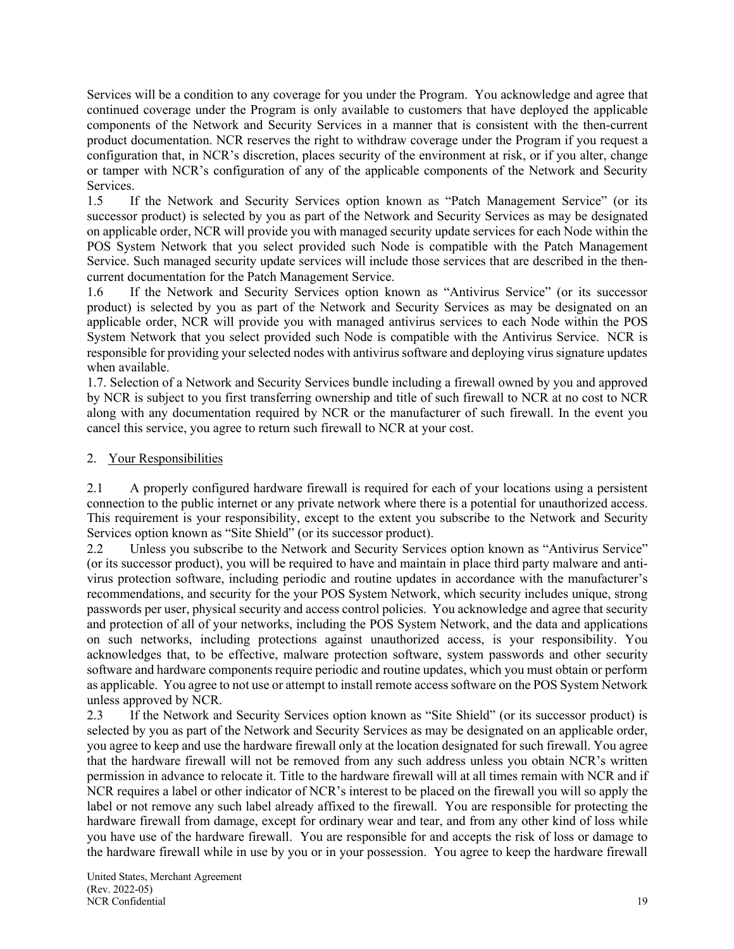Services will be a condition to any coverage for you under the Program. You acknowledge and agree that continued coverage under the Program is only available to customers that have deployed the applicable components of the Network and Security Services in a manner that is consistent with the then-current product documentation. NCR reserves the right to withdraw coverage under the Program if you request a configuration that, in NCR's discretion, places security of the environment at risk, or if you alter, change or tamper with NCR's configuration of any of the applicable components of the Network and Security Services.

1.5 If the Network and Security Services option known as "Patch Management Service" (or its successor product) is selected by you as part of the Network and Security Services as may be designated on applicable order, NCR will provide you with managed security update services for each Node within the POS System Network that you select provided such Node is compatible with the Patch Management Service. Such managed security update services will include those services that are described in the thencurrent documentation for the Patch Management Service.

1.6 If the Network and Security Services option known as "Antivirus Service" (or its successor product) is selected by you as part of the Network and Security Services as may be designated on an applicable order, NCR will provide you with managed antivirus services to each Node within the POS System Network that you select provided such Node is compatible with the Antivirus Service. NCR is responsible for providing your selected nodes with antivirus software and deploying virus signature updates when available.

1.7. Selection of a Network and Security Services bundle including a firewall owned by you and approved by NCR is subject to you first transferring ownership and title of such firewall to NCR at no cost to NCR along with any documentation required by NCR or the manufacturer of such firewall. In the event you cancel this service, you agree to return such firewall to NCR at your cost.

# 2. Your Responsibilities

2.1 A properly configured hardware firewall is required for each of your locations using a persistent connection to the public internet or any private network where there is a potential for unauthorized access. This requirement is your responsibility, except to the extent you subscribe to the Network and Security Services option known as "Site Shield" (or its successor product).

2.2 Unless you subscribe to the Network and Security Services option known as "Antivirus Service" (or its successor product), you will be required to have and maintain in place third party malware and antivirus protection software, including periodic and routine updates in accordance with the manufacturer's recommendations, and security for the your POS System Network, which security includes unique, strong passwords per user, physical security and access control policies. You acknowledge and agree that security and protection of all of your networks, including the POS System Network, and the data and applications on such networks, including protections against unauthorized access, is your responsibility. You acknowledges that, to be effective, malware protection software, system passwords and other security software and hardware components require periodic and routine updates, which you must obtain or perform as applicable. You agree to not use or attempt to install remote access software on the POS System Network unless approved by NCR.

2.3 If the Network and Security Services option known as "Site Shield" (or its successor product) is selected by you as part of the Network and Security Services as may be designated on an applicable order, you agree to keep and use the hardware firewall only at the location designated for such firewall. You agree that the hardware firewall will not be removed from any such address unless you obtain NCR's written permission in advance to relocate it. Title to the hardware firewall will at all times remain with NCR and if NCR requires a label or other indicator of NCR's interest to be placed on the firewall you will so apply the label or not remove any such label already affixed to the firewall. You are responsible for protecting the hardware firewall from damage, except for ordinary wear and tear, and from any other kind of loss while you have use of the hardware firewall. You are responsible for and accepts the risk of loss or damage to the hardware firewall while in use by you or in your possession. You agree to keep the hardware firewall